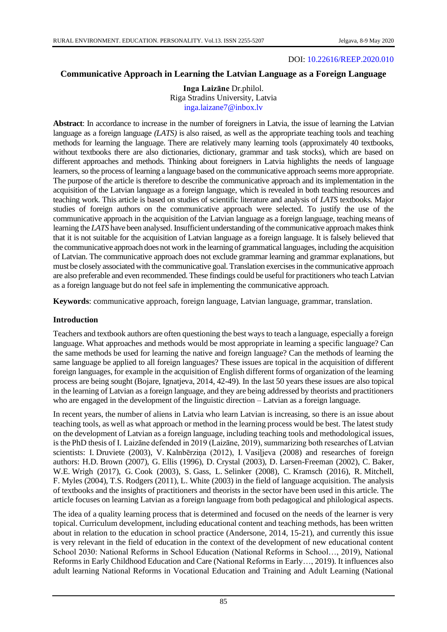#### DOI: [10.22616/REEP.2020.010](https://doi.org/10.22616/REEP.2020.010)

# **Communicative Approach in Learning the Latvian Language as a Foreign Language**

**Inga Laizāne** Dr.philol. Riga Stradins University, Latvia [inga.laizane7@inbox.lv](mailto:inga.laizane7@inbox.lv)

**Abstract**: In accordance to increase in the number of foreigners in Latvia, the issue of learning the Latvian language as a foreign language *(LATS)* is also raised, as well as the appropriate teaching tools and teaching methods for learning the language. There are relatively many learning tools (approximately 40 textbooks, without textbooks there are also dictionaries, dictionary, grammar and task stocks), which are based on different approaches and methods. Thinking about foreigners in Latvia highlights the needs of language learners, so the process of learning a language based on the communicative approach seems more appropriate. The purpose of the article is therefore to describe the communicative approach and its implementation in the acquisition of the Latvian language as a foreign language, which is revealed in both teaching resources and teaching work. This article is based on studies of scientific literature and analysis of *LATS* textbooks. Major studies of foreign authors on the communicative approach were selected. To justify the use of the communicative approach in the acquisition of the Latvian language as a foreign language, teaching means of learning the *LATS* have been analysed. Insufficient understanding of the communicative approach makes think that it is not suitable for the acquisition of Latvian language as a foreign language. It is falsely believed that the communicative approach does not work in the learning of grammatical languages, including the acquisition of Latvian. The communicative approach does not exclude grammar learning and grammar explanations, but must be closely associated with the communicative goal. Translation exercises in the communicative approach are also preferable and even recommended. These findings could be useful for practitioners who teach Latvian as a foreign language but do not feel safe in implementing the communicative approach.

**Keywords**: communicative approach, foreign language, Latvian language, grammar, translation.

#### **Introduction**

Teachers and textbook authors are often questioning the best ways to teach a language, especially a foreign language. What approaches and methods would be most appropriate in learning a specific language? Can the same methods be used for learning the native and foreign language? Can the methods of learning the same language be applied to all foreign languages? These issues are topical in the acquisition of different foreign languages, for example in the acquisition of English different forms of organization of the learning process are being sought (Bojare, Ignatjeva, 2014, 42-49). In the last 50 years these issues are also topical in the learning of Latvian as a foreign language, and they are being addressed by theorists and practitioners who are engaged in the development of the linguistic direction – Latvian as a foreign language.

In recent years, the number of aliens in Latvia who learn Latvian is increasing, so there is an issue about teaching tools, as well as what approach or method in the learning process would be best. The latest study on the development of Latvian as a foreign language, including teaching tools and methodological issues, is the PhD thesis of I. Laizāne defended in 2019 (Laizāne, 2019), summarizing both researches of Latvian scientists: I. Druviete (2003), V. Kalnbērziņa (2012), I. Vasiļjeva (2008) and researches of foreign authors: H.D. Brown (2007), G. Ellis (1996), D. Crystal (2003), D. Larsen-Freeman (2002), C. Baker, W.E. Wrigh (2017), G. Cook (2003), S. Gass, L. Selinker (2008), C. Kramsch (2016), R. Mitchell, F. Myles (2004), T.S. Rodgers (2011), L. White (2003) in the field of language acquisition. The analysis of textbooks and the insights of practitioners and theorists in the sector have been used in this article. The article focuses on learning Latvian as a foreign language from both pedagogical and philological aspects.

The idea of a quality learning process that is determined and focused on the needs of the learner is very topical. Curriculum development, including educational content and teaching methods, has been written about in relation to the education in school practice (Andersone, 2014, 15-21), and currently this issue is very relevant in the field of education in the context of the development of new educational content School 2030: National Reforms in School Education (National Reforms in School…, 2019), National Reforms in Early Childhood Education and Care (National Reforms in Early…, 2019). It influences also adult learning National Reforms in Vocational Education and Training and Adult Learning (National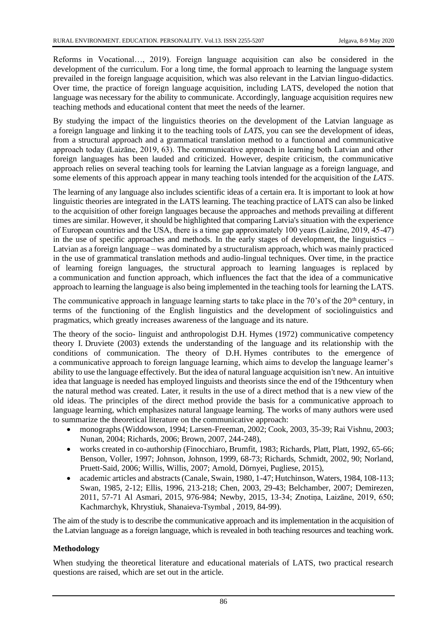Reforms in Vocational…, 2019). Foreign language acquisition can also be considered in the development of the curriculum. For a long time, the formal approach to learning the language system prevailed in the foreign language acquisition, which was also relevant in the Latvian linguo-didactics. Over time, the practice of foreign language acquisition, including LATS, developed the notion that language was necessary for the ability to communicate. Accordingly, language acquisition requires new teaching methods and educational content that meet the needs of the learner.

By studying the impact of the linguistics theories on the development of the Latvian language as a foreign language and linking it to the teaching tools of *LATS*, you can see the development of ideas, from a structural approach and a grammatical translation method to a functional and communicative approach today (Laizāne, 2019, 63). The communicative approach in learning both Latvian and other foreign languages has been lauded and criticized. However, despite criticism, the communicative approach relies on several teaching tools for learning the Latvian language as a foreign language, and some elements of this approach appear in many teaching tools intended for the acquisition of the *LATS*.

The learning of any language also includes scientific ideas of a certain era. It is important to look at how linguistic theories are integrated in the LATS learning. The teaching practice of LATS can also be linked to the acquisition of other foreign languages because the approaches and methods prevailing at different times are similar. However, it should be highlighted that comparing Latvia's situation with the experience of European countries and the USA, there is a time gap approximately 100 years (Laizāne, 2019, 45-47) in the use of specific approaches and methods. In the early stages of development, the linguistics – Latvian as a foreign language – was dominated by a structuralism approach, which was mainly practiced in the use of grammatical translation methods and audio-lingual techniques. Over time, in the practice of learning foreign languages, the structural approach to learning languages is replaced by a communication and function approach, which influences the fact that the idea of a communicative approach to learning the language is also being implemented in the teaching tools for learning the LATS.

The communicative approach in language learning starts to take place in the 70's of the  $20<sup>th</sup>$  century, in terms of the functioning of the English linguistics and the development of sociolinguistics and pragmatics, which greatly increases awareness of the language and its nature.

The theory of the socio- linguist and anthropologist D.H. Hymes (1972) communicative competency theory I. Druviete (2003) extends the understanding of the language and its relationship with the conditions of communication. The theory of D.H. Hymes contributes to the emergence of a communicative approach to foreign language learning, which aims to develop the language learner's ability to use the language effectively. But the idea of natural language acquisition isn't new. An intuitive idea that language is needed has employed linguists and theorists since the end of the 19thcentury when the natural method was created. Later, it results in the use of a direct method that is a new view of the old ideas. The principles of the direct method provide the basis for a communicative approach to language learning, which emphasizes natural language learning. The works of many authors were used to summarize the theoretical literature on the communicative approach:

- monographs (Widdowson, 1994; Larsen-Freeman, 2002; Cook, 2003, 35-39; Rai Vishnu, 2003; Nunan, 2004; Richards, 2006; Brown, 2007, 244-248),
- works created in co-authorship (Finocchiaro, Brumfit, 1983; Richards, Platt, Platt, 1992, 65-66; Benson, Voller, 1997; Johnson, Johnson, 1999, 68-73; Richards, Schmidt, 2002, 90; Norland, Pruett-Said, 2006; Willis, Willis, 2007; Arnold, Dörnyei, Pugliese, 2015),
- academic articles and abstracts (Canale, Swain, 1980, 1-47; Hutchinson, Waters, 1984, 108-113; Swan, 1985, 2-12; Ellis, 1996, 213-218; Chen, 2003, 29-43; Belchamber, 2007; Demirezen, 2011, 57-71 Al Asmari, 2015, 976-984; Newby, 2015, 13-34; Znotiņa, Laizāne, 2019, 650; Kachmarchyk, Khrystiuk, Shanaieva-Tsymbal , 2019, 84-99).

The aim of the study is to describe the communicative approach and its implementation in the acquisition of the Latvian language as a foreign language, which is revealed in both teaching resources and teaching work.

# **Methodology**

When studying the theoretical literature and educational materials of LATS, two practical research questions are raised, which are set out in the article.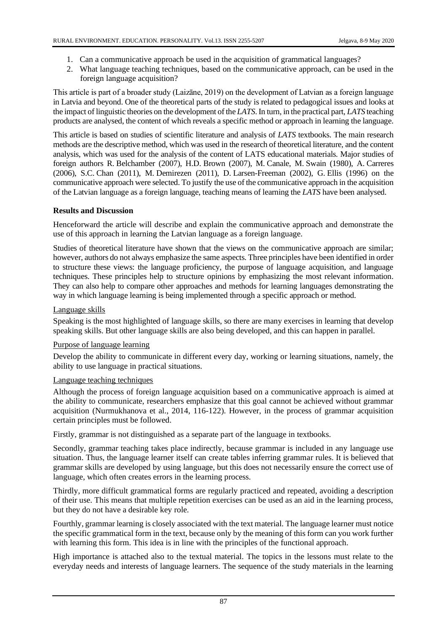- 1. Can a communicative approach be used in the acquisition of grammatical languages?
- 2. What language teaching techniques, based on the communicative approach, can be used in the foreign language acquisition?

This article is part of a broader study (Laizāne, 2019) on the development of Latvian as a foreign language in Latvia and beyond. One of the theoretical parts of the study is related to pedagogical issues and looks at the impact of linguistic theories on the development of the *LATS*. In turn, in the practical part, *LATS* teaching products are analysed, the content of which reveals a specific method or approach in learning the language.

This article is based on studies of scientific literature and analysis of *LATS* textbooks. The main research methods are the descriptive method, which was used in the research of theoretical literature, and the content analysis, which was used for the analysis of the content of LATS educational materials. Major studies of foreign authors R. Belchamber (2007), H.D. Brown (2007), M. Canale, M. Swain (1980), A. Carreres (2006), S.C. Chan (2011), M. Demirezen (2011), D. Larsen-Freeman (2002), G. Ellis (1996) on the communicative approach were selected. To justify the use of the communicative approach in the acquisition of the Latvian language as a foreign language, teaching means of learning the *LATS* have been analysed.

## **Results and Discussion**

Henceforward the article will describe and explain the communicative approach and demonstrate the use of this approach in learning the Latvian language as a foreign language.

Studies of theoretical literature have shown that the views on the communicative approach are similar; however, authors do not always emphasize the same aspects. Three principles have been identified in order to structure these views: the language proficiency, the purpose of language acquisition, and language techniques. These principles help to structure opinions by emphasizing the most relevant information. They can also help to compare other approaches and methods for learning languages demonstrating the way in which language learning is being implemented through a specific approach or method.

## Language skills

Speaking is the most highlighted of language skills, so there are many exercises in learning that develop speaking skills. But other language skills are also being developed, and this can happen in parallel.

## Purpose of language learning

Develop the ability to communicate in different every day, working or learning situations, namely, the ability to use language in practical situations.

## Language teaching techniques

Although the process of foreign language acquisition based on a communicative approach is aimed at the ability to communicate, researchers emphasize that this goal cannot be achieved without grammar acquisition (Nurmukhanova et al., 2014, 116-122). However, in the process of grammar acquisition certain principles must be followed.

Firstly, grammar is not distinguished as a separate part of the language in textbooks.

Secondly, grammar teaching takes place indirectly, because grammar is included in any language use situation. Thus, the language learner itself can create tables inferring grammar rules. It is believed that grammar skills are developed by using language, but this does not necessarily ensure the correct use of language, which often creates errors in the learning process.

Thirdly, more difficult grammatical forms are regularly practiced and repeated, avoiding a description of their use. This means that multiple repetition exercises can be used as an aid in the learning process, but they do not have a desirable key role.

Fourthly, grammar learning is closely associated with the text material. The language learner must notice the specific grammatical form in the text, because only by the meaning of this form can you work further with learning this form. This idea is in line with the principles of the functional approach.

High importance is attached also to the textual material. The topics in the lessons must relate to the everyday needs and interests of language learners. The sequence of the study materials in the learning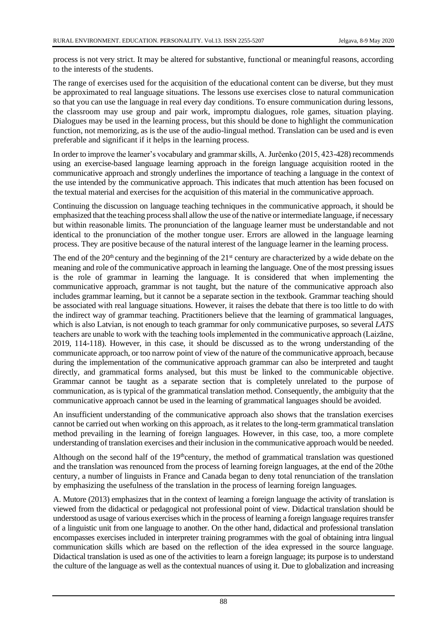process is not very strict. It may be altered for substantive, functional or meaningful reasons, according to the interests of the students.

The range of exercises used for the acquisition of the educational content can be diverse, but they must be approximated to real language situations. The lessons use exercises close to natural communication so that you can use the language in real every day conditions. To ensure communication during lessons, the classroom may use group and pair work, impromptu dialogues, role games, situation playing. Dialogues may be used in the learning process, but this should be done to highlight the communication function, not memorizing, as is the use of the audio-lingual method. Translation can be used and is even preferable and significant if it helps in the learning process.

In order to improve the learner's vocabulary and grammar skills, A. Jurčenko (2015, 423-428) recommends using an exercise-based language learning approach in the foreign language acquisition rooted in the communicative approach and strongly underlines the importance of teaching a language in the context of the use intended by the communicative approach. This indicates that much attention has been focused on the textual material and exercises for the acquisition of this material in the communicative approach.

Continuing the discussion on language teaching techniques in the communicative approach, it should be emphasized that the teaching process shall allow the use of the native or intermediate language, if necessary but within reasonable limits. The pronunciation of the language learner must be understandable and not identical to the pronunciation of the mother tongue user. Errors are allowed in the language learning process. They are positive because of the natural interest of the language learner in the learning process.

The end of the 20<sup>th</sup> century and the beginning of the 21<sup>st</sup> century are characterized by a wide debate on the meaning and role of the communicative approach in learning the language. One of the most pressing issues is the role of grammar in learning the language. It is considered that when implementing the communicative approach, grammar is not taught, but the nature of the communicative approach also includes grammar learning, but it cannot be a separate section in the textbook. Grammar teaching should be associated with real language situations. However, it raises the debate that there is too little to do with the indirect way of grammar teaching. Practitioners believe that the learning of grammatical languages, which is also Latvian, is not enough to teach grammar for only communicative purposes, so several *LATS*  teachers are unable to work with the teaching tools implemented in the communicative approach (Laizāne, 2019, 114-118). However, in this case, it should be discussed as to the wrong understanding of the communicate approach, or too narrow point of view of the nature of the communicative approach, because during the implementation of the communicative approach grammar can also be interpreted and taught directly, and grammatical forms analysed, but this must be linked to the communicable objective. Grammar cannot be taught as a separate section that is completely unrelated to the purpose of communication, as is typical of the grammatical translation method. Consequently, the ambiguity that the communicative approach cannot be used in the learning of grammatical languages should be avoided.

An insufficient understanding of the communicative approach also shows that the translation exercises cannot be carried out when working on this approach, as it relates to the long-term grammatical translation method prevailing in the learning of foreign languages. However, in this case, too, a more complete understanding of translation exercises and their inclusion in the communicative approach would be needed.

Although on the second half of the  $19^{\text{th}}$ century, the method of grammatical translation was questioned and the translation was renounced from the process of learning foreign languages, at the end of the 20the century, a number of linguists in France and Canada began to deny total renunciation of the translation by emphasizing the usefulness of the translation in the process of learning foreign languages.

A. Mutore (2013) emphasizes that in the context of learning a foreign language the activity of translation is viewed from the didactical or pedagogical not professional point of view. Didactical translation should be understood as usage of various exercises which in the process of learning a foreign language requires transfer of a linguistic unit from one language to another. On the other hand, didactical and professional translation encompasses exercises included in interpreter training programmes with the goal of obtaining intra lingual communication skills which are based on the reflection of the idea expressed in the source language. Didactical translation is used as one of the activities to learn a foreign language; its purpose is to understand the culture of the language as well as the contextual nuances of using it. Due to globalization and increasing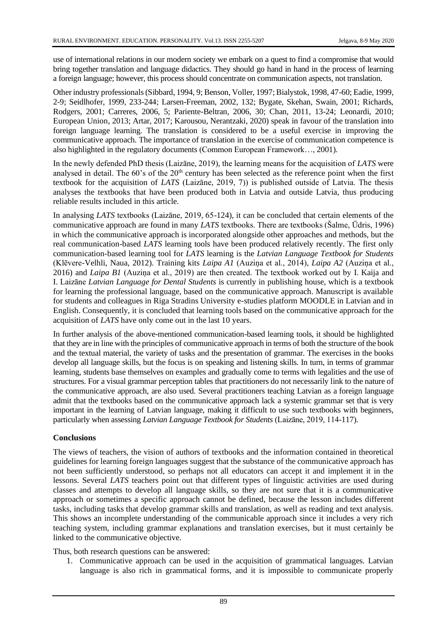use of international relations in our modern society we embark on a quest to find a compromise that would bring together translation and language didactics. They should go hand in hand in the process of learning a foreign language; however, this process should concentrate on communication aspects, not translation.

Other industry professionals (Sibbard, 1994, 9; Benson, Voller, 1997; Bialystok, 1998, 47-60; Eadie, 1999, 2-9; Seidlhofer, 1999, 233-244; Larsen-Freeman, 2002, 132; Bygate, Skehan, Swain, 2001; Richards, Rodgers, 2001; Carreres, 2006, 5; Pariente-Beltran, 2006, 30; Chan, 2011, 13-24; Leonardi, 2010; European Union, 2013; Artar, 2017; Karousou, Nerantzaki, 2020) speak in favour of the translation into foreign language learning. The translation is considered to be a useful exercise in improving the communicative approach. The importance of translation in the exercise of communication competence is also highlighted in the regulatory documents (Common European Framework…, 2001).

In the newly defended PhD thesis (Laizāne, 2019), the learning means for the acquisition of *LATS* were analysed in detail. The 60's of the 20<sup>th</sup> century has been selected as the reference point when the first textbook for the acquisition of *LATS* (Laizāne, 2019, 7)) is published outside of Latvia. The thesis analyses the textbooks that have been produced both in Latvia and outside Latvia, thus producing reliable results included in this article.

In analysing *LATS* textbooks (Laizāne, 2019, 65-124), it can be concluded that certain elements of the communicative approach are found in many *LATS* textbooks. There are textbooks (Šalme, Ūdris, 1996) in which the communicative approach is incorporated alongside other approaches and methods, but the real communication-based *LATS* learning tools have been produced relatively recently. The first only communication-based learning tool for *LATS* learning is the *Latvian Language Textbook for Students*  (Klēvere-Velhli, Naua, 2012). Training kits *Laipa A1* (Auziņa et al., 2014), *Laipa A2* (Auziņa et al., 2016) and *Laipa B1* (Auziņa et al., 2019) are then created. The textbook worked out by I. Kaija and I. Laizāne *Latvian Language for Dental Students* is currently in publishing house, which is a textbook for learning the professional language, based on the communicative approach. Manuscript is available for students and colleagues in Riga Stradins University e-studies platform MOODLE in Latvian and in English. Consequently, it is concluded that learning tools based on the communicative approach for the acquisition of *LATS* have only come out in the last 10 years.

In further analysis of the above-mentioned communication-based learning tools, it should be highlighted that they are in line with the principles of communicative approach in terms of both the structure of the book and the textual material, the variety of tasks and the presentation of grammar. The exercises in the books develop all language skills, but the focus is on speaking and listening skills. In turn, in terms of grammar learning, students base themselves on examples and gradually come to terms with legalities and the use of structures. For a visual grammar perception tables that practitioners do not necessarily link to the nature of the communicative approach, are also used. Several practitioners teaching Latvian as a foreign language admit that the textbooks based on the communicative approach lack a systemic grammar set that is very important in the learning of Latvian language, making it difficult to use such textbooks with beginners, particularly when assessing *Latvian Language Textbook for Students* (Laizāne, 2019, 114-117).

## **Conclusions**

The views of teachers, the vision of authors of textbooks and the information contained in theoretical guidelines for learning foreign languages suggest that the substance of the communicative approach has not been sufficiently understood, so perhaps not all educators can accept it and implement it in the lessons. Several *LATS* teachers point out that different types of linguistic activities are used during classes and attempts to develop all language skills, so they are not sure that it is a communicative approach or sometimes a specific approach cannot be defined, because the lesson includes different tasks, including tasks that develop grammar skills and translation, as well as reading and text analysis. This shows an incomplete understanding of the communicable approach since it includes a very rich teaching system, including grammar explanations and translation exercises, but it must certainly be linked to the communicative objective.

Thus, both research questions can be answered:

1. Communicative approach can be used in the acquisition of grammatical languages. Latvian language is also rich in grammatical forms, and it is impossible to communicate properly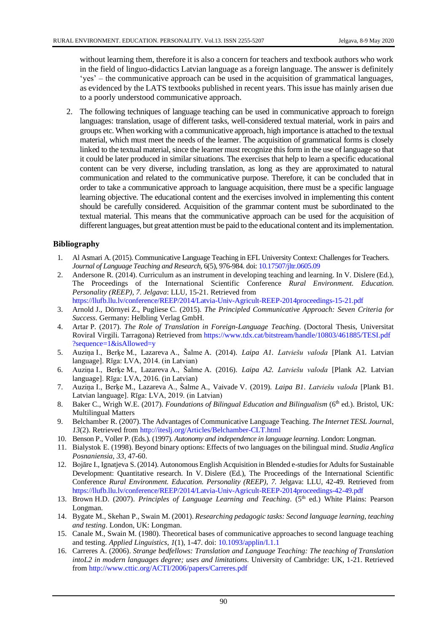without learning them, therefore it is also a concern for teachers and textbook authors who work in the field of linguo-didactics Latvian language as a foreign language. The answer is definitely 'yes' – the communicative approach can be used in the acquisition of grammatical languages, as evidenced by the LATS textbooks published in recent years. This issue has mainly arisen due to a poorly understood communicative approach.

2. The following techniques of language teaching can be used in communicative approach to foreign languages: translation, usage of different tasks, well-considered textual material, work in pairs and groups etc. When working with a communicative approach, high importance is attached to the textual material, which must meet the needs of the learner. The acquisition of grammatical forms is closely linked to the textual material, since the learner must recognize this form in the use of language so that it could be later produced in similar situations. The exercises that help to learn a specific educational content can be very diverse, including translation, as long as they are approximated to natural communication and related to the communicative purpose. Therefore, it can be concluded that in order to take a communicative approach to language acquisition, there must be a specific language learning objective. The educational content and the exercises involved in implementing this content should be carefully considered. Acquisition of the grammar content must be subordinated to the textual material. This means that the communicative approach can be used for the acquisition of different languages, but great attention must be paid to the educational content and its implementation.

## **Bibliography**

- 1. Al Asmari A. (2015). Communicative Language Teaching in EFL University Context: Challenges for Teachers. *Journal of Language Teaching and Research*, 6(5), 976-984. doi: [10.17507/jltr.0605.09](https://doi.org/10.17507/jltr.0605.09)
- 2. Andersone R. (2014). Curriculum as an instrument in developing teaching and learning. In V. Dislere (Ed.), The Proceedings of the International Scientific Conference *Rural Environment. Education. Personality (REEP), 7. Jelgava*: LLU, 15-21. Retrieved from <https://llufb.llu.lv/conference/REEP/2014/Latvia-Univ-Agricult-REEP-2014proceedings-15-21.pdf>
- 3. Arnold J., Dörnyei Z., Pugliese C. (2015). *The Principled Communicative Approach: Seven Criteria for Success*. Germany: Helbling Verlag GmbH.
- 4. Artar P. (2017). *The Role of Translation in Foreign-Language Teaching*. (Doctoral Thesis, Universitat RoviraI Virgili. Tarragona) Retrieved from [https://www.tdx.cat/bitstream/handle/10803/461885/TESI.pdf](https://www.tdx.cat/bitstream/handle/10803/461885/TESI.pdf?sequence=1&isAllowed=y) [?sequence=1&isAllowed=y](https://www.tdx.cat/bitstream/handle/10803/461885/TESI.pdf?sequence=1&isAllowed=y)
- 5. Auziņa I., Berķe M., Lazareva A., Šalme A. (2014). *Laipa A1*. *Latviešu valoda* [Plank A1. Latvian language]. Rīga: LVA, 2014. (in Latvian)
- 6. Auziņa I., Berķe M., Lazareva A., Šalme A. (2016). *Laipa A2*. *Latviešu valoda* [Plank A2. Latvian language]. Rīga: LVA, 2016. (in Latvian)
- 7. Auziņa I., Berķe M., Lazareva A., Šalme A., Vaivade V. (2019). *Laipa B1*. *Latviešu valoda* [Plank B1. Latvian language]. Rīga: LVA, 2019. (in Latvian)
- 8. Baker C., Wrigh W.E. (2017). *Foundations of Bilingual Education and Bilingualism* (6<sup>th</sup> ed.). Bristol, UK: Multilingual Matters
- 9. Belchamber R. (2007). The Advantages of Communicative Language Teaching. *The Internet TESL Journa*l, *13*(2). Retrieved from<http://iteslj.org/Articles/Belchamber-CLT.html>
- 10. BensonP., VollerP. (Eds.). (1997). *Autonomy and independence in language learning*. London: Longman.
- 11. Bialystok E. (1998). Beyond binary options: Effects of two languages on the bilingual mind. *Studia Anglica Posnaniensia*, *33*, 47-60.
- 12. Bojāre I., Ignatjeva S. (2014). Autonomous English Acquisition in Blended e-studies for Adults for Sustainable Development: Quantitative research. In V. Dislere (Ed.), The Proceedings of the International Scientific Conference *Rural Environment. Education. Personality (REEP)*, *7.* Jelgava: LLU, 42-49. Retrieved from <https://llufb.llu.lv/conference/REEP/2014/Latvia-Univ-Agricult-REEP-2014proceedings-42-49.pdf>
- 13. Brown H.D. (2007). *Principles of Language Learning and Teaching*. (5<sup>th</sup> ed.) White Plains: Pearson Longman.
- 14. Bygate M., Skehan P., Swain M. (2001). *Researching pedagogic tasks: Second language learning, teaching and testing*. London, UK: Longman.
- 15. Canale M., Swain M. (1980). Theoretical bases of communicative approaches to second language teaching and testing. *Applied Linguistics*, *1*(1), 1-47. doi[: 10.1093/applin/I.1.1](https://doi.org/10.1093/applin/I.1.1)
- 16. Carreres A. (2006). *Strange bedfellows: Translation and Language Teaching: The teaching of Translation intoL2 in modern languages degree; uses and limitations*. University of Cambridge: UK, 1-21. Retrieved from<http://www.cttic.org/ACTI/2006/papers/Carreres.pdf>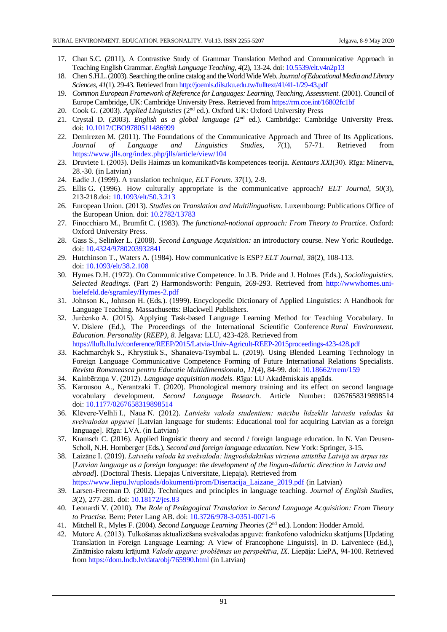- 17. ChanS.C. (2011). A Contrastive Study of Grammar Translation Method and Communicative Approach in Teaching English Grammar. *English Language Teaching*, *4*(2), 13-24. doi: [10.5539/elt.v4n2p13](https://doi.org/10.5539/elt.v4n2p13)
- 18. ChenS.H.L. (2003). Searching the online catalog and the World Wide Web. *Journal of Educational Media and Library Sciences*, *41*(1). 29-43. Retrieved fro[m http://joemls.dils.tku.edu.tw/fulltext/41/41-1/29-43.pdf](http://joemls.dils.tku.edu.tw/fulltext/41/41-1/29-43.pdf)
- 19. *Common European Framework of Reference for Languages: Learning, Teaching, Assessment*. (2001). Council of Europe Cambridge, UK: Cambridge University Press. Retrieved fro[m https://rm.coe.int/16802fc1bf](https://rm.coe.int/16802fc1bf)
- 20. Cook G. (2003). *Applied Linguistics* (2nd ed.). Oxford UK: Oxford University Press
- 21. Crystal D. (2003). *English as a global language (2<sup>nd</sup> ed.)*. Cambridge: Cambridge University Press. doi: [10.1017/CBO9780511486999](https://doi.org/10.1017/CBO9780511486999)
- 22. Demirezen M. (2011). The Foundations of the Communicative Approach and Three of Its Applications. *Journal of Language and Linguistics Studies*, *7*(1), 57-71. Retrieved from <https://www.jlls.org/index.php/jlls/article/view/104>
- 23. Druviete I. (2003). Dells Haimzs un komunikatīvās kompetences teorija. *Kentaurs XXI*(30). Rīga: Minerva, 28.-30. (in Latvian)
- 24. Eadie J. (1999). A translation technique, *ELT Forum*. *37*(1), 2-9.
- 25. Ellis G. (1996). How culturally appropriate is the communicative approach? *ELT Journal*, *50*(3), 213-218.doi: [10.1093/elt/50.3.213](https://doi.org/10.1093/elt/50.3.213)
- 26. European Union. (2013). *Studies on Translation and Multilingualism*. Luxembourg: Publications Office of the European Union. doi: [10.2782/13783](https://doi.org/10.2782/13783)
- 27. Finocchiaro M., Brumfit C. (1983). *The functional-notional approach: From Theory to Practice*. Oxford: Oxford University Press.
- 28. Gass S., Selinker L. (2008). *Second Language Acquisition:* an introductory course. New York: Routledge. doi: [10.4324/9780203932841](https://doi.org/10.4324/9780203932841)
- 29. Hutchinson T., Waters A. (1984). How communicative is ESP? *ELT Journal, 38*(2), 108-113. doi: [10.1093/elt/38.2.108](https://doi.org/10.1093/elt/38.2.108)
- 30. Hymes D.H. (1972). On Communicative Competence. In J.B. Pride and J. Holmes (Eds.), *Sociolinguistics. Selected Readings*. (Part 2) Harmondsworth: Penguin, 269-293. Retrieved from [http://wwwhomes.uni](http://wwwhomes.uni-bielefeld.de/sgramley/Hymes-2.pdf)[bielefeld.de/sgramley/Hymes-2.pdf](http://wwwhomes.uni-bielefeld.de/sgramley/Hymes-2.pdf)
- 31. Johnson K., Johnson H. (Eds.). (1999). Encyclopedic Dictionary of Applied Linguistics: A Handbook for Language Teaching. Massachusetts: Blackwell Publishers.
- 32. Jurčenko A. (2015). Applying Task-based Language Learning Method for Teaching Vocabulary. In V. Dislere (Ed.), The Proceedings of the International Scientific Conference *Rural Environment. Education. Personality* (*REEP)*, *8.* Jelgava: LLU, 423-428. Retrieved from <https://llufb.llu.lv/conference/REEP/2015/Latvia-Univ-Agricult-REEP-2015proceedings-423-428.pdf>
- 33. Kachmarchyk S., Khrystiuk S., Shanaieva-Tsymbal L. (2019). Using Blended Learning Technology in Foreign Language Communicative Competence Forming of Future International Relations Specialists. *Revista Romaneasca pentru Educatie Multidimensionala*, *11*(4), 84-99. doi: [10.18662/rrem/159](https://doi.org/10.18662/rrem/159)
- 34. Kalnbērziņa V. (2012). *Language acquisition models*. Rīga: LU Akadēmiskais apgāds.
- 35. Karousou A., Nerantzaki T. (2020). Phonological memory training and its effect on second language vocabulary development. *Second Language Research*. Article Number: 0267658319898514 doi: [10.1177/0267658319898514](https://doi.org/10.1177/0267658319898514)
- 36. Klēvere-Velhli I., Naua N. (2012). *Latviešu valoda studentiem: mācību līdzeklis latviešu valodas kā svešvalodas apguvei* [Latvian language for students: Educational tool for acquiring Latvian as a foreign language]. Rīga: LVA. (in Latvian)
- 37. Kramsch C. (2016). Applied linguistic theory and second / foreign language education. In N. Van Deusen-Scholl, N.H. Hornberger (Eds.), *Second and foreign language education*. New York: Springer, 3-15.
- 38. Laizāne I. (2019). *Latviešu valoda kā svešvaloda: lingvodidaktikas virziena attīstība Latvijā un ārpus tās*  [*Latvian language as a foreign language: the development of the linguo-didactic direction in Latvia and abroad*]. (Doctoral Thesis. Liepajas Universitate, Liepaja). Retrieved from [https://www.liepu.lv/uploads/dokumenti/prom/Disertacija\\_Laizane\\_2019.pdf](https://www.liepu.lv/uploads/dokumenti/prom/Disertacija_Laizane_2019.pdf) (in Latvian)
- 39. Larsen-Freeman D. (2002). Techniques and principles in language teaching. *Journal of English Studies, 3*(2), 277-281. doi[: 10.18172/jes.83](https://doi.org/10.18172/jes.83)
- 40. Leonardi V. (2010). *The Role of Pedagogical Translation in Second Language Acquisition: From Theory to Practise.* Bern: Peter Lang AB. doi: [10.3726/978-3-0351-0071-6](https://doi.org/10.3726/978-3-0351-0071-6)
- 41. Mitchell R., Myles F. (2004). *Second Language Learning Theories* (2nd ed.). London: Hodder Arnold.
- 42. Mutore A. (2013). Tulkošanas aktualizēšana svešvalodas apguvē: frankofono valodnieku skatījums [Updating Translation in Foreign Language Learning: A View of Francophone Linguists]. In D. Laiveniece (Ed.), Zinātnisko rakstu krājumā *Valodu apguve: problēmas un perspektīva*, *IX*. Liepāja: LiePA, 94-100. Retrieved from<https://dom.lndb.lv/data/obj/765990.html> (in Latvian)